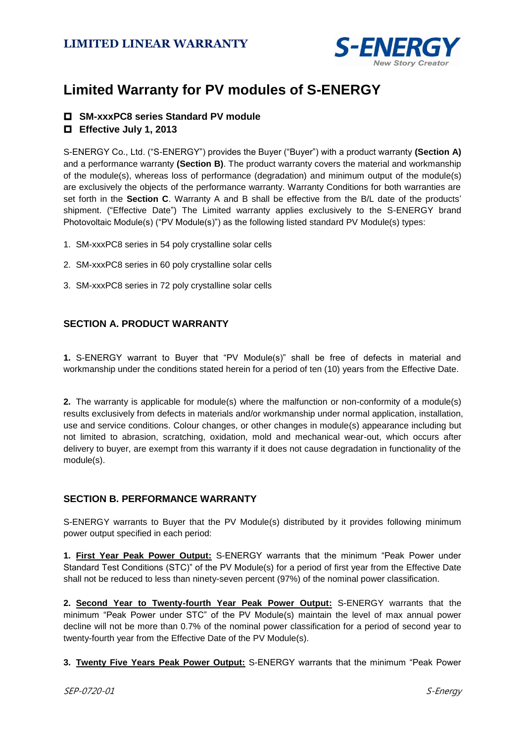

# **Limited Warranty for PV modules of S-ENERGY**

### **SM-xxxPC8 series Standard PV module**

### **Effective July 1, 2013**

S-ENERGY Co., Ltd. ("S-ENERGY") provides the Buyer ("Buyer") with a product warranty **(Section A)** and a performance warranty **(Section B)**. The product warranty covers the material and workmanship of the module(s), whereas loss of performance (degradation) and minimum output of the module(s) are exclusively the objects of the performance warranty. Warranty Conditions for both warranties are set forth in the **Section C**. Warranty A and B shall be effective from the B/L date of the products' shipment. ("Effective Date") The Limited warranty applies exclusively to the S-ENERGY brand Photovoltaic Module(s) ("PV Module(s)") as the following listed standard PV Module(s) types:

- 1. SM-xxxPC8 series in 54 poly crystalline solar cells
- 2. SM-xxxPC8 series in 60 poly crystalline solar cells
- 3. SM-xxxPC8 series in 72 poly crystalline solar cells

## **SECTION A. PRODUCT WARRANTY**

**1.** S-ENERGY warrant to Buyer that "PV Module(s)" shall be free of defects in material and workmanship under the conditions stated herein for a period of ten (10) years from the Effective Date.

**2.** The warranty is applicable for module(s) where the malfunction or non-conformity of a module(s) results exclusively from defects in materials and/or workmanship under normal application, installation, use and service conditions. Colour changes, or other changes in module(s) appearance including but not limited to abrasion, scratching, oxidation, mold and mechanical wear-out, which occurs after delivery to buyer, are exempt from this warranty if it does not cause degradation in functionality of the module(s).

### **SECTION B. PERFORMANCE WARRANTY**

S-ENERGY warrants to Buyer that the PV Module(s) distributed by it provides following minimum power output specified in each period:

**1. First Year Peak Power Output:** S-ENERGY warrants that the minimum "Peak Power under Standard Test Conditions (STC)" of the PV Module(s) for a period of first year from the Effective Date shall not be reduced to less than ninety-seven percent (97%) of the nominal power classification.

**2. Second Year to Twenty-fourth Year Peak Power Output:** S-ENERGY warrants that the minimum "Peak Power under STC" of the PV Module(s) maintain the level of max annual power decline will not be more than 0.7% of the nominal power classification for a period of second year to twenty-fourth year from the Effective Date of the PV Module(s).

**3. Twenty Five Years Peak Power Output:** S-ENERGY warrants that the minimum "Peak Power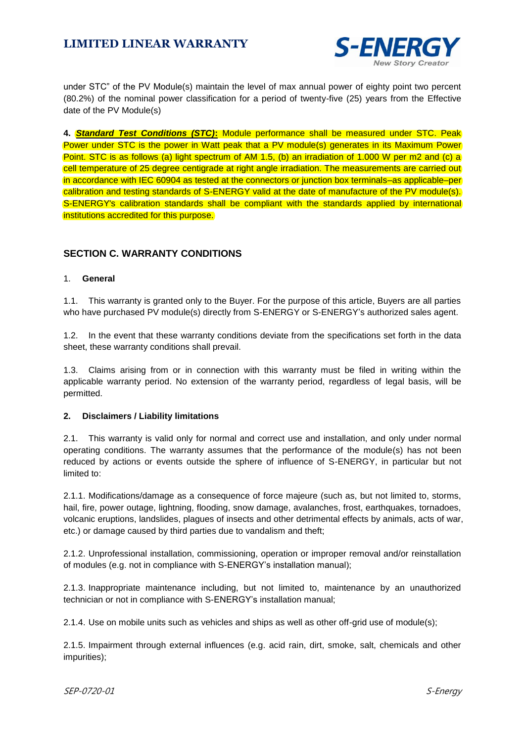

under STC" of the PV Module(s) maintain the level of max annual power of eighty point two percent (80.2%) of the nominal power classification for a period of twenty-five (25) years from the Effective date of the PV Module(s)

**4.** *Standard Test Conditions (STC)***:** Module performance shall be measured under STC. Peak Power under STC is the power in Watt peak that a PV module(s) generates in its Maximum Power Point. STC is as follows (a) light spectrum of AM 1.5, (b) an irradiation of 1.000 W per m2 and (c) a cell temperature of 25 degree centigrade at right angle irradiation. The measurements are carried out in accordance with IEC 60904 as tested at the connectors or junction box terminals–as applicable–per calibration and testing standards of S-ENERGY valid at the date of manufacture of the PV module(s). S-ENERGY's calibration standards shall be compliant with the standards applied by international institutions accredited for this purpose.

### **SECTION C. WARRANTY CONDITIONS**

#### 1. **General**

1.1. This warranty is granted only to the Buyer. For the purpose of this article, Buyers are all parties who have purchased PV module(s) directly from S-ENERGY or S-ENERGY's authorized sales agent.

1.2. In the event that these warranty conditions deviate from the specifications set forth in the data sheet, these warranty conditions shall prevail.

1.3. Claims arising from or in connection with this warranty must be filed in writing within the applicable warranty period. No extension of the warranty period, regardless of legal basis, will be permitted.

#### **2. Disclaimers / Liability limitations**

2.1. This warranty is valid only for normal and correct use and installation, and only under normal operating conditions. The warranty assumes that the performance of the module(s) has not been reduced by actions or events outside the sphere of influence of S-ENERGY, in particular but not limited to:

2.1.1. Modifications/damage as a consequence of force majeure (such as, but not limited to, storms, hail, fire, power outage, lightning, flooding, snow damage, avalanches, frost, earthquakes, tornadoes, volcanic eruptions, landslides, plagues of insects and other detrimental effects by animals, acts of war, etc.) or damage caused by third parties due to vandalism and theft;

2.1.2. Unprofessional installation, commissioning, operation or improper removal and/or reinstallation of modules (e.g. not in compliance with S-ENERGY's installation manual);

2.1.3. Inappropriate maintenance including, but not limited to, maintenance by an unauthorized technician or not in compliance with S-ENERGY's installation manual;

2.1.4. Use on mobile units such as vehicles and ships as well as other off-grid use of module(s);

2.1.5. Impairment through external influences (e.g. acid rain, dirt, smoke, salt, chemicals and other impurities);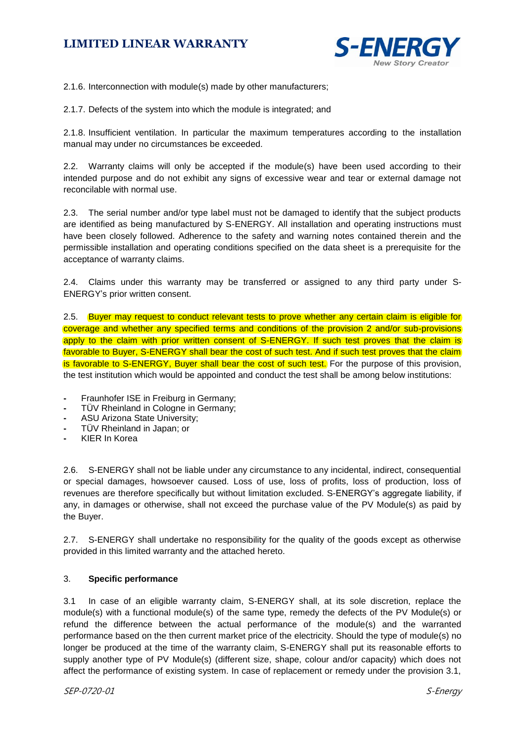

2.1.6. Interconnection with module(s) made by other manufacturers;

2.1.7. Defects of the system into which the module is integrated; and

2.1.8. Insufficient ventilation. In particular the maximum temperatures according to the installation manual may under no circumstances be exceeded.

2.2. Warranty claims will only be accepted if the module(s) have been used according to their intended purpose and do not exhibit any signs of excessive wear and tear or external damage not reconcilable with normal use.

2.3. The serial number and/or type label must not be damaged to identify that the subject products are identified as being manufactured by S-ENERGY. All installation and operating instructions must have been closely followed. Adherence to the safety and warning notes contained therein and the permissible installation and operating conditions specified on the data sheet is a prerequisite for the acceptance of warranty claims.

2.4. Claims under this warranty may be transferred or assigned to any third party under S-ENERGY's prior written consent.

2.5. Buyer may request to conduct relevant tests to prove whether any certain claim is eligible for coverage and whether any specified terms and conditions of the provision 2 and/or sub-provisions apply to the claim with prior written consent of S-ENERGY. If such test proves that the claim is favorable to Buyer, S-ENERGY shall bear the cost of such test. And if such test proves that the claim is favorable to S-ENERGY. Buyer shall bear the cost of such test. For the purpose of this provision, the test institution which would be appointed and conduct the test shall be among below institutions:

- **-** Fraunhofer ISE in Freiburg in Germany;
- **-** TÜ V Rheinland in Cologne in Germany;
- **-** ASU Arizona State University;
- TÜV Rheinland in Japan; or
- **-** KIER In Korea

2.6. S-ENERGY shall not be liable under any circumstance to any incidental, indirect, consequential or special damages, howsoever caused. Loss of use, loss of profits, loss of production, loss of revenues are therefore specifically but without limitation excluded. S-ENERGY's aggregate liability, if any, in damages or otherwise, shall not exceed the purchase value of the PV Module(s) as paid by the Buyer.

2.7. S-ENERGY shall undertake no responsibility for the quality of the goods except as otherwise provided in this limited warranty and the attached hereto.

#### 3. **Specific performance**

3.1 In case of an eligible warranty claim, S-ENERGY shall, at its sole discretion, replace the module(s) with a functional module(s) of the same type, remedy the defects of the PV Module(s) or refund the difference between the actual performance of the module(s) and the warranted performance based on the then current market price of the electricity. Should the type of module(s) no longer be produced at the time of the warranty claim, S-ENERGY shall put its reasonable efforts to supply another type of PV Module(s) (different size, shape, colour and/or capacity) which does not affect the performance of existing system. In case of replacement or remedy under the provision 3.1,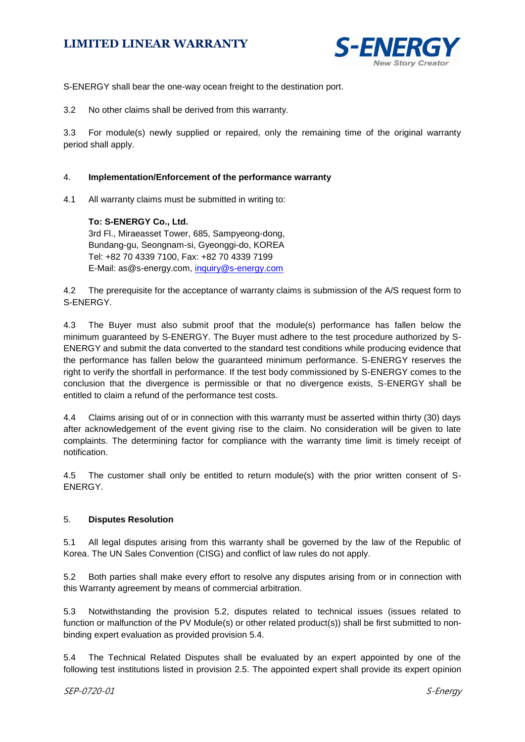

S-ENERGY shall bear the one-way ocean freight to the destination port.

3.2 No other claims shall be derived from this warranty.

3.3 For module(s) newly supplied or repaired, only the remaining time of the original warranty period shall apply.

#### 4. **Implementation/Enforcement of the performance warranty**

4.1 All warranty claims must be submitted in writing to:

#### **To: S-ENERGY Co., Ltd.**

3rd Fl., Miraeasset Tower, 685, Sampyeong-dong, Bundang-gu, Seongnam-si, Gyeonggi-do, KOREA Tel: +82 70 4339 7100, Fax: +82 70 4339 7199 E-Mail: as@s-energy.com, [inquiry@s-energy.com](mailto:inquiry@s-energy.com)

4.2 The prerequisite for the acceptance of warranty claims is submission of the A/S request form to S-ENERGY.

4.3 The Buyer must also submit proof that the module(s) performance has fallen below the minimum guaranteed by S-ENERGY. The Buyer must adhere to the test procedure authorized by S-ENERGY and submit the data converted to the standard test conditions while producing evidence that the performance has fallen below the guaranteed minimum performance. S-ENERGY reserves the right to verify the shortfall in performance. If the test body commissioned by S-ENERGY comes to the conclusion that the divergence is permissible or that no divergence exists, S-ENERGY shall be entitled to claim a refund of the performance test costs.

4.4 Claims arising out of or in connection with this warranty must be asserted within thirty (30) days after acknowledgement of the event giving rise to the claim. No consideration will be given to late complaints. The determining factor for compliance with the warranty time limit is timely receipt of notification.

4.5 The customer shall only be entitled to return module(s) with the prior written consent of S-ENERGY.

#### 5. **Disputes Resolution**

5.1 All legal disputes arising from this warranty shall be governed by the law of the Republic of Korea. The UN Sales Convention (CISG) and conflict of law rules do not apply.

5.2 Both parties shall make every effort to resolve any disputes arising from or in connection with this Warranty agreement by means of commercial arbitration.

5.3 Notwithstanding the provision 5.2, disputes related to technical issues (issues related to function or malfunction of the PV Module(s) or other related product(s)) shall be first submitted to nonbinding expert evaluation as provided provision 5.4.

5.4 The Technical Related Disputes shall be evaluated by an expert appointed by one of the following test institutions listed in provision 2.5. The appointed expert shall provide its expert opinion